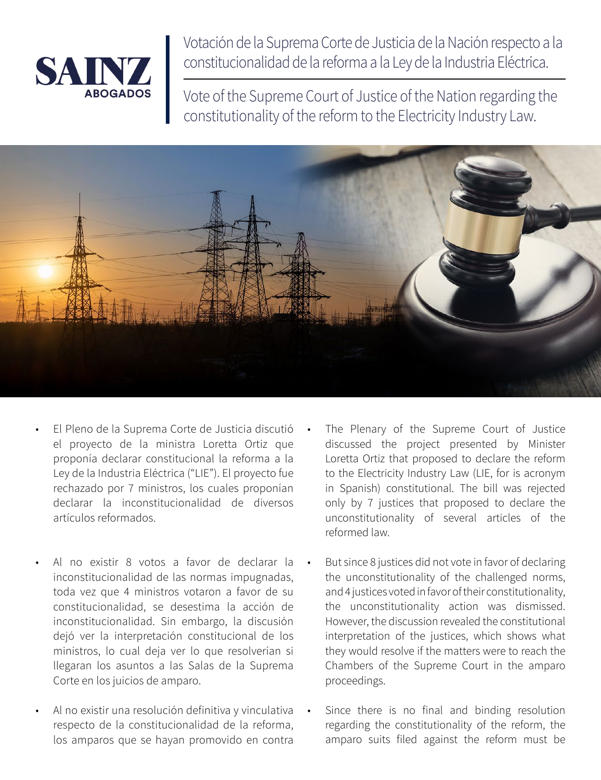

Votación de la Suprema Corte de Justicia de la Nación respecto a la constitucionalidad de la reforma a la Ley de la Industria Eléctrica.

Vote of the Supreme Court of Justice of the Nation regarding the constitutionality of the reform to the Electricity Industry Law.



- El Pleno de la Suprema Corte de Justicia discutió el proyecto de la ministra Loretta Ortiz que proponía declarar constitucional la reforma a la Ley de la Industria Eléctrica ("LIE"). El proyecto fue rechazado por 7 ministros, los cuales proponían declarar la inconstitucionalidad de diversos artículos reformados.
- Al no existir 8 votos a favor de declarar la inconstitucionalidad de las normas impugnadas, toda vez que 4 ministros votaron a favor de su constitucionalidad, se desestima la acción de inconstitucionalidad. Sin embargo, la discusión dejó ver la interpretación constitucional de los ministros, lo cual deja ver lo que resolverían si llegaran los asuntos a las Salas de la Suprema Corte en los juicios de amparo.
- Al no existir una resolución definitiva y vinculativa respecto de la constitucionalidad de la reforma, los amparos que se hayan promovido en contra
- The Plenary of the Supreme Court of Justice discussed the project presented by Minister Loretta Ortiz that proposed to declare the reform to the Electricity Industry Law (LIE, for is acronym in Spanish) constitutional. The bill was rejected only by 7 justices that proposed to declare the unconstitutionality of several articles of the reformed law.
- But since 8 justices did not vote in favor of declaring the unconstitutionality of the challenged norms, and 4 justices voted in favor of their constitutionality, the unconstitutionality action was dismissed. However, the discussion revealed the constitutional interpretation of the justices, which shows what they would resolve if the matters were to reach the Chambers of the Supreme Court in the amparo proceedings.
- Since there is no final and binding resolution regarding the constitutionality of the reform, the amparo suits filed against the reform must be